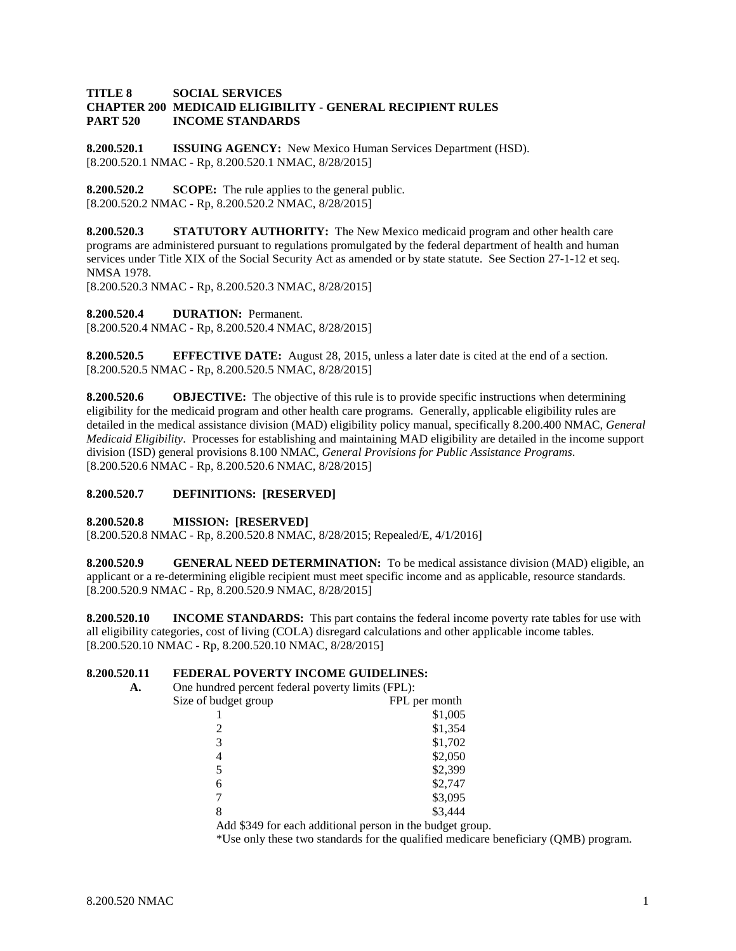#### **TITLE 8 SOCIAL SERVICES CHAPTER 200 MEDICAID ELIGIBILITY - GENERAL RECIPIENT RULES PART 520 INCOME STANDARDS**

**8.200.520.1 ISSUING AGENCY:** New Mexico Human Services Department (HSD). [8.200.520.1 NMAC - Rp, 8.200.520.1 NMAC, 8/28/2015]

**8.200.520.2 SCOPE:** The rule applies to the general public. [8.200.520.2 NMAC - Rp, 8.200.520.2 NMAC, 8/28/2015]

**8.200.520.3 STATUTORY AUTHORITY:** The New Mexico medicaid program and other health care programs are administered pursuant to regulations promulgated by the federal department of health and human services under Title XIX of the Social Security Act as amended or by state statute. See Section 27-1-12 et seq. NMSA 1978.

[8.200.520.3 NMAC - Rp, 8.200.520.3 NMAC, 8/28/2015]

**8.200.520.4 DURATION:** Permanent.

[8.200.520.4 NMAC - Rp, 8.200.520.4 NMAC, 8/28/2015]

**8.200.520.5 EFFECTIVE DATE:** August 28, 2015, unless a later date is cited at the end of a section. [8.200.520.5 NMAC - Rp, 8.200.520.5 NMAC, 8/28/2015]

**8.200.520.6 OBJECTIVE:** The objective of this rule is to provide specific instructions when determining eligibility for the medicaid program and other health care programs. Generally, applicable eligibility rules are detailed in the medical assistance division (MAD) eligibility policy manual, specifically 8.200.400 NMAC, *General Medicaid Eligibility*. Processes for establishing and maintaining MAD eligibility are detailed in the income support division (ISD) general provisions 8.100 NMAC, *General Provisions for Public Assistance Programs*. [8.200.520.6 NMAC - Rp, 8.200.520.6 NMAC, 8/28/2015]

# **8.200.520.7 DEFINITIONS: [RESERVED]**

# **8.200.520.8 MISSION: [RESERVED]**

[8.200.520.8 NMAC - Rp, 8.200.520.8 NMAC, 8/28/2015; Repealed/E, 4/1/2016]

**8.200.520.9 GENERAL NEED DETERMINATION:** To be medical assistance division (MAD) eligible, an applicant or a re-determining eligible recipient must meet specific income and as applicable, resource standards. [8.200.520.9 NMAC - Rp, 8.200.520.9 NMAC, 8/28/2015]

**8.200.520.10 INCOME STANDARDS:** This part contains the federal income poverty rate tables for use with all eligibility categories, cost of living (COLA) disregard calculations and other applicable income tables. [8.200.520.10 NMAC - Rp, 8.200.520.10 NMAC, 8/28/2015]

# **8.200.520.11 FEDERAL POVERTY INCOME GUIDELINES:**

| А. | One hundred percent federal poverty limits (FPL): |                                                           |
|----|---------------------------------------------------|-----------------------------------------------------------|
|    | Size of budget group                              | FPL per month                                             |
|    |                                                   | \$1,005                                                   |
|    |                                                   | \$1,354                                                   |
|    | 3                                                 | \$1,702                                                   |
|    | 4                                                 | \$2,050                                                   |
|    |                                                   | \$2,399                                                   |
|    | 6                                                 | \$2,747                                                   |
|    |                                                   | \$3,095                                                   |
|    | 8                                                 | \$3,444                                                   |
|    |                                                   | Add \$349 for each additional person in the budget group. |

\*Use only these two standards for the qualified medicare beneficiary (QMB) program.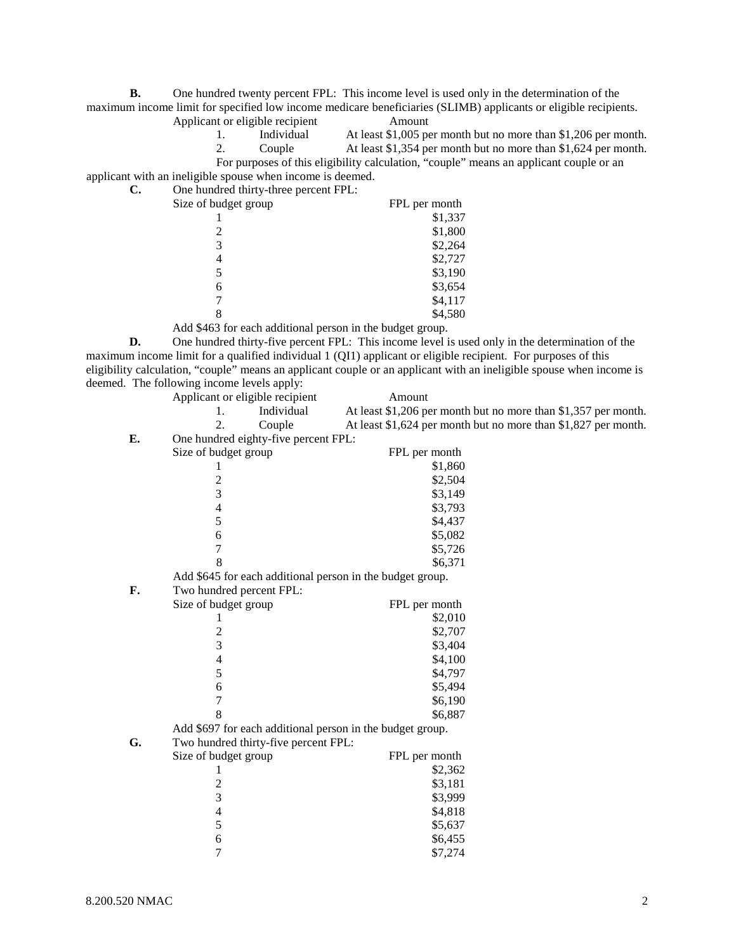**B.** One hundred twenty percent FPL: This income level is used only in the determination of the maximum income limit for specified low income medicare beneficiaries (SLIMB) applicants or eligible recipients.

- Applicant or eligible recipient<br>
1. Individual At least \$1,005 pe 1. Individual At least \$1,005 per month but no more than \$1,206 per month.<br>2. Couple At least \$1,354 per month but no more than \$1,624 per month.
	- At least \$1,354 per month but no more than \$1,624 per month.

applicant with an ineligible spouse when income is deemed. **C.** One hundred thirty-three percent FPL:

| Size of budget group | FPL per month |
|----------------------|---------------|
|                      | \$1,337       |
| 2                    | \$1,800       |
| 3                    | \$2,264       |
| 4                    | \$2,727       |
|                      | \$3,190       |
| 6                    | \$3,654       |
|                      | \$4,117       |
|                      | \$4,580       |
|                      |               |

Add \$463 for each additional person in the budget group.

**D.** One hundred thirty-five percent FPL: This income level is used only in the determination of the maximum income limit for a qualified individual 1 (QI1) applicant or eligible recipient. For purposes of this eligibility calculation, "couple" means an applicant couple or an applicant with an ineligible spouse when income is deemed. The following income levels apply:

|    | Applicant or eligible recipient      | Amount                                                         |
|----|--------------------------------------|----------------------------------------------------------------|
|    | Individual<br>1.                     | At least \$1,206 per month but no more than \$1,357 per month. |
|    | $\overline{2}$ .<br>Couple           | At least \$1,624 per month but no more than \$1,827 per month. |
| E. | One hundred eighty-five percent FPL: |                                                                |
|    | Size of budget group                 | FPL per month                                                  |
|    | 1                                    | \$1,860                                                        |
|    | $\overline{\mathbf{c}}$              | \$2,504                                                        |
|    | $\overline{3}$                       | \$3,149                                                        |
|    | $\overline{\mathcal{L}}$             | \$3,793                                                        |
|    | 5                                    | \$4,437                                                        |
|    | 6                                    | \$5,082                                                        |
|    | 7                                    | \$5,726                                                        |
|    | 8                                    | \$6,371                                                        |
|    |                                      | Add \$645 for each additional person in the budget group.      |
| F. | Two hundred percent FPL:             |                                                                |
|    | Size of budget group                 | FPL per month                                                  |
|    | 1                                    | \$2,010                                                        |
|    | $\overline{c}$                       | \$2,707                                                        |
|    | 3                                    | \$3,404                                                        |
|    | $\overline{4}$                       | \$4,100                                                        |
|    | 5                                    | \$4,797                                                        |
|    | 6                                    | \$5,494                                                        |
|    | $\overline{7}$                       | \$6,190                                                        |
|    | 8                                    | \$6,887                                                        |
|    |                                      | Add \$697 for each additional person in the budget group.      |
| G. | Two hundred thirty-five percent FPL: |                                                                |
|    | Size of budget group                 | FPL per month                                                  |
|    | 1                                    | \$2,362                                                        |
|    | $\overline{\mathbf{c}}$              | \$3,181                                                        |
|    | 3                                    | \$3,999                                                        |
|    | $\overline{\mathcal{L}}$             | \$4,818                                                        |
|    | 5                                    | \$5,637                                                        |
|    | 6                                    | \$6,455                                                        |
|    | 7                                    | \$7,274                                                        |

For purposes of this eligibility calculation, "couple" means an applicant couple or an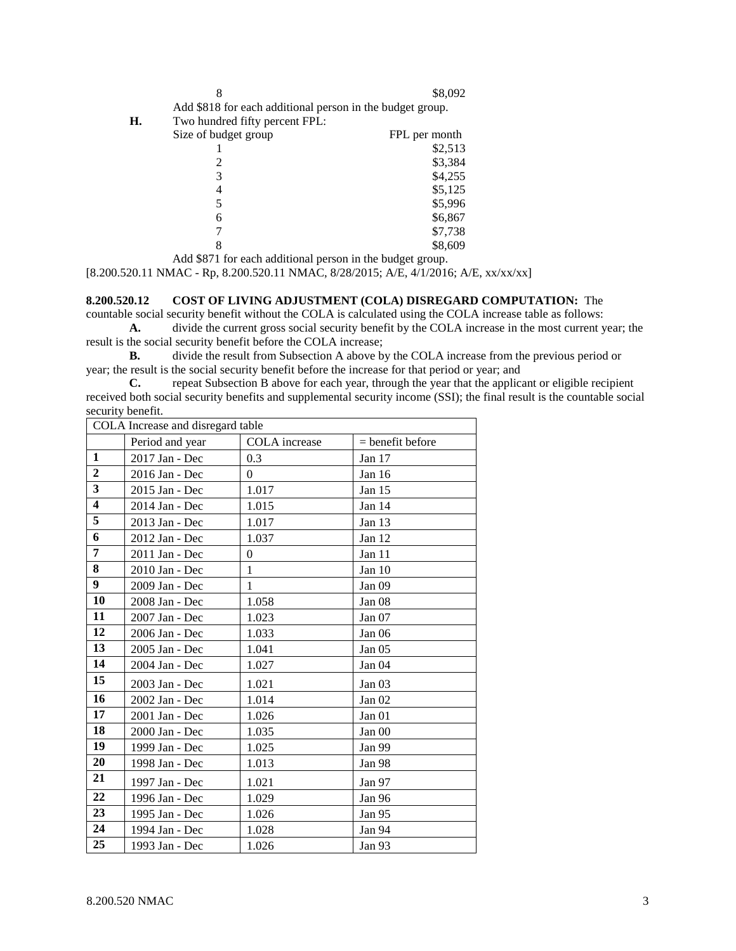| ۰.<br>×. |        |  |
|----------|--------|--|
|          | I      |  |
| u        |        |  |
| ٧        | I<br>I |  |

\$8,092

Add \$818 for each additional person in the budget group.

**H.** Two hundred fifty percent FPL:

| . .                  |               |
|----------------------|---------------|
| Size of budget group | FPL per month |
|                      | \$2,513       |
| 2                    | \$3,384       |
| 3                    | \$4,255       |
|                      | \$5,125       |
| 5                    | \$5,996       |
| 6                    | \$6,867       |
|                      | \$7,738       |
|                      | \$8,609       |
|                      |               |

Add \$871 for each additional person in the budget group.

[8.200.520.11 NMAC - Rp, 8.200.520.11 NMAC, 8/28/2015; A/E, 4/1/2016; A/E, xx/xx/xx]

# **8.200.520.12 COST OF LIVING ADJUSTMENT (COLA) DISREGARD COMPUTATION:** The

countable social security benefit without the COLA is calculated using the COLA increase table as follows:

**A.** divide the current gross social security benefit by the COLA increase in the most current year; the result is the social security benefit before the COLA increase;<br>**B.** divide the result from Subsection A above by

**B.** divide the result from Subsection A above by the COLA increase from the previous period or year; the result is the social security benefit before the increase for that period or year; and

**C.** repeat Subsection B above for each year, through the year that the applicant or eligible recipient received both social security benefits and supplemental security income (SSI); the final result is the countable social security benefit.

| COLA Increase and disregard table |                 |                |                    |
|-----------------------------------|-----------------|----------------|--------------------|
|                                   | Period and year | COLA increase  | $=$ benefit before |
| $\mathbf{1}$                      | 2017 Jan - Dec  | 0.3            | Jan 17             |
| $\overline{2}$                    | 2016 Jan - Dec  | $\overline{0}$ | Jan $16$           |
| 3                                 | 2015 Jan - Dec  | 1.017          | Jan $15$           |
| $\overline{\mathbf{4}}$           | 2014 Jan - Dec  | 1.015          | Jan 14             |
| 5                                 | 2013 Jan - Dec  | 1.017          | Jan 13             |
| 6                                 | 2012 Jan - Dec  | 1.037          | Jan 12             |
| 7                                 | 2011 Jan - Dec  | $\theta$       | Jan 11             |
| 8                                 | 2010 Jan - Dec  | $\mathbf{1}$   | Jan 10             |
| 9                                 | 2009 Jan - Dec  | 1              | Jan 09             |
| 10                                | 2008 Jan - Dec  | 1.058          | Jan <sub>08</sub>  |
| 11                                | 2007 Jan - Dec  | 1.023          | Jan 07             |
| 12                                | 2006 Jan - Dec  | 1.033          | Jan 06             |
| 13                                | 2005 Jan - Dec  | 1.041          | Jan $05$           |
| 14                                | 2004 Jan - Dec  | 1.027          | Jan <sub>04</sub>  |
| 15                                | 2003 Jan - Dec  | 1.021          | Jan <sub>03</sub>  |
| 16                                | 2002 Jan - Dec  | 1.014          | Jan $02$           |
| 17                                | 2001 Jan - Dec  | 1.026          | Jan 01             |
| 18                                | 2000 Jan - Dec  | 1.035          | Jan 00             |
| 19                                | 1999 Jan - Dec  | 1.025          | Jan 99             |
| 20                                | 1998 Jan - Dec  | 1.013          | Jan 98             |
| 21                                | 1997 Jan - Dec  | 1.021          | Jan 97             |
| 22                                | 1996 Jan - Dec  | 1.029          | Jan 96             |
| 23                                | 1995 Jan - Dec  | 1.026          | Jan 95             |
| 24                                | 1994 Jan - Dec  | 1.028          | Jan 94             |
| 25                                | 1993 Jan - Dec  | 1.026          | Jan 93             |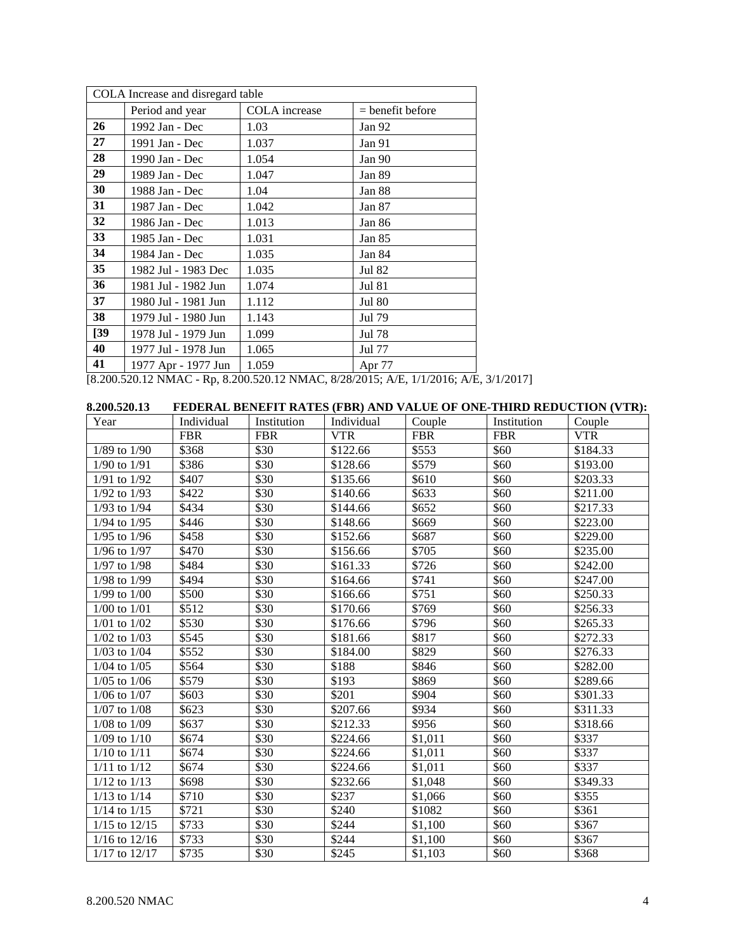| COLA Increase and disregard table |                     |               |                    |
|-----------------------------------|---------------------|---------------|--------------------|
|                                   | Period and year     | COLA increase | $=$ benefit before |
| 26                                | 1992 Jan - Dec      | 1.03          | Jan 92             |
| 27                                | 1991 Jan - Dec      | 1.037         | Jan 91             |
| 28                                | 1990 Jan - Dec      | 1.054         | Jan 90             |
| 29                                | 1989 Jan - Dec      | 1.047         | Jan 89             |
| 30                                | 1988 Jan - Dec      | 1.04          | Jan 88             |
| 31                                | 1987 Jan - Dec      | 1.042         | Jan 87             |
| 32                                | 1986 Jan - Dec      | 1.013         | Jan 86             |
| 33                                | 1985 Jan - Dec      | 1.031         | Jan 85             |
| 34                                | 1984 Jan - Dec      | 1.035         | Jan 84             |
| 35                                | 1982 Jul - 1983 Dec | 1.035         | Jul 82             |
| 36                                | 1981 Jul - 1982 Jun | 1.074         | <b>Jul 81</b>      |
| 37                                | 1980 Jul - 1981 Jun | 1.112         | <b>Jul 80</b>      |
| 38                                | 1979 Jul - 1980 Jun | 1.143         | Jul 79             |
| $\left[39\right]$                 | 1978 Jul - 1979 Jun | 1.099         | Jul 78             |
| 40                                | 1977 Jul - 1978 Jun | 1.065         | Jul 77             |
| 41                                | 1977 Apr - 1977 Jun | 1.059         | Apr 77             |

[8.200.520.12 NMAC - Rp, 8.200.520.12 NMAC, 8/28/2015; A/E, 1/1/2016; A/E, 3/1/2017]

| 8.200.520.13      |            |             |            |            |             | FEDERAL BENEFIT RATES (FBR) AND VALUE OF ONE-THIRD REDUCTION (VTR): |
|-------------------|------------|-------------|------------|------------|-------------|---------------------------------------------------------------------|
| Year              | Individual | Institution | Individual | Couple     | Institution | Couple                                                              |
|                   | <b>FBR</b> | <b>FBR</b>  | <b>VTR</b> | <b>FBR</b> | <b>FBR</b>  | <b>VTR</b>                                                          |
| $1/89$ to $1/90$  | \$368      | \$30        | \$122.66   | \$553      | \$60        | \$184.33                                                            |
| $1/90$ to $1/91$  | \$386      | \$30        | \$128.66   | \$579      | \$60        | \$193.00                                                            |
| $1/91$ to $1/92$  | \$407      | \$30        | \$135.66   | \$610      | \$60        | \$203.33                                                            |
| $1/92$ to $1/93$  | \$422      | \$30        | \$140.66   | \$633      | \$60        | \$211.00                                                            |
| 1/93 to 1/94      | \$434      | \$30        | \$144.66   | \$652      | \$60        | \$217.33                                                            |
| $1/94$ to $1/95$  | \$446      | \$30        | \$148.66   | \$669      | \$60        | \$223.00                                                            |
| $1/95$ to $1/96$  | \$458      | \$30        | \$152.66   | \$687      | \$60        | \$229.00                                                            |
| $1/96$ to $1/97$  | \$470      | \$30        | \$156.66   | \$705      | \$60        | \$235.00                                                            |
| $1/97$ to $1/98$  | \$484      | \$30        | \$161.33   | \$726      | \$60        | \$242.00                                                            |
| $1/98$ to $1/99$  | \$494      | \$30        | \$164.66   | \$741      | \$60        | \$247.00                                                            |
| $1/99$ to $1/00$  | \$500      | \$30        | \$166.66   | \$751      | \$60        | \$250.33                                                            |
| $1/00$ to $1/01$  | \$512      | \$30        | \$170.66   | \$769      | \$60        | \$256.33                                                            |
| $1/01$ to $1/02$  | \$530      | \$30        | \$176.66   | \$796      | \$60        | \$265.33                                                            |
| $1/02$ to $1/03$  | \$545      | \$30        | \$181.66   | \$817      | \$60        | \$272.33                                                            |
| $1/03$ to $1/04$  | \$552      | \$30        | \$184.00   | \$829      | \$60        | \$276.33                                                            |
| $1/04$ to $1/05$  | \$564      | \$30        | \$188      | \$846      | \$60        | \$282.00                                                            |
| $1/05$ to $1/06$  | \$579      | \$30        | \$193      | \$869      | \$60        | \$289.66                                                            |
| $1/06$ to $1/07$  | \$603      | \$30        | \$201      | \$904      | \$60        | \$301.33                                                            |
| $1/07$ to $1/08$  | \$623      | \$30        | \$207.66   | \$934      | \$60        | \$311.33                                                            |
| $1/08$ to $1/09$  | \$637      | \$30        | \$212.33   | \$956      | \$60        | \$318.66                                                            |
| $1/09$ to $1/10$  | \$674      | \$30        | \$224.66   | \$1,011    | \$60        | \$337                                                               |
| $1/10$ to $1/11$  | \$674      | \$30        | \$224.66   | \$1,011    | \$60        | \$337                                                               |
| $1/11$ to $1/12$  | \$674      | \$30        | \$224.66   | \$1,011    | \$60        | \$337                                                               |
| $1/12$ to $1/13$  | \$698      | \$30        | \$232.66   | \$1,048    | \$60        | \$349.33                                                            |
| $1/13$ to $1/14$  | \$710      | \$30        | \$237      | \$1,066    | \$60        | \$355                                                               |
| $1/14$ to $1/15$  | \$721      | \$30        | \$240      | \$1082     | \$60        | \$361                                                               |
| $1/15$ to $12/15$ | \$733      | \$30        | \$244      | \$1,100    | \$60        | \$367                                                               |
| $1/16$ to $12/16$ | \$733      | \$30        | \$244      | \$1,100    | \$60        | \$367                                                               |
| $1/17$ to $12/17$ | \$735      | \$30        | \$245      | \$1,103    | \$60        | \$368                                                               |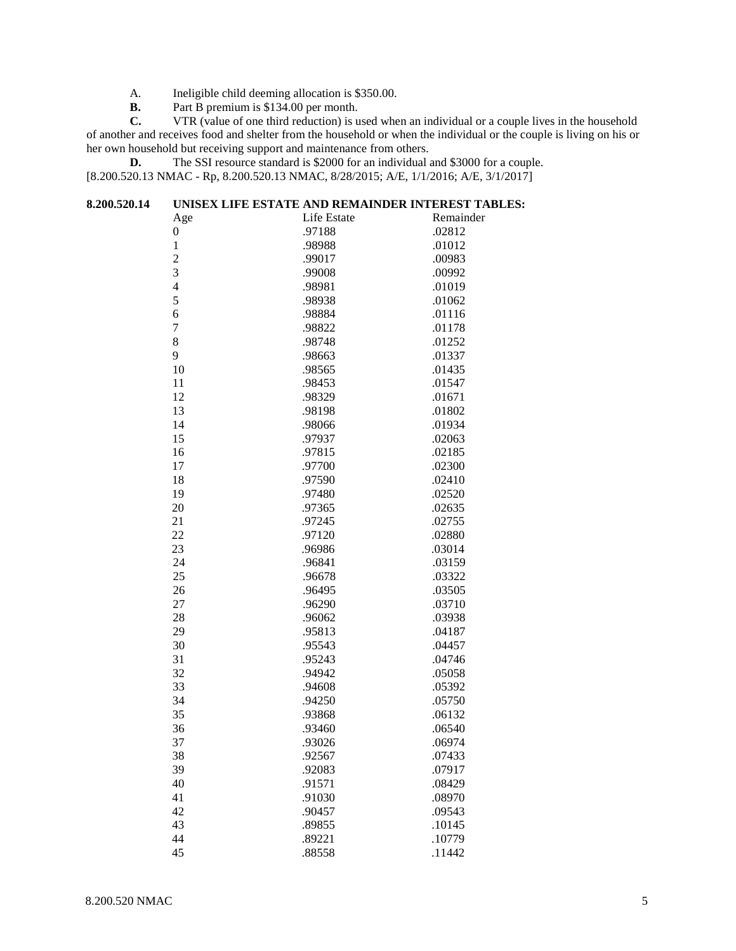- A. Ineligible child deeming allocation is \$350.00.<br>**B.** Part B premium is \$134.00 per month.
- **B.** Part B premium is \$134.00 per month.<br>**C.** VTR (value of one third reduction) is u

**C.** VTR (value of one third reduction) is used when an individual or a couple lives in the household of another and receives food and shelter from the household or when the individual or the couple is living on his or her own household but receiving support and maintenance from others.

**D.** The SSI resource standard is \$2000 for an individual and \$3000 for a couple. [8.200.520.13 NMAC - Rp, 8.200.520.13 NMAC, 8/28/2015; A/E, 1/1/2016; A/E, 3/1/2017]

| 8.200.520.14 |                  | UNISEX LIFE ESTATE AND REMAINDER INTEREST TABLES: |           |
|--------------|------------------|---------------------------------------------------|-----------|
|              | Age              | Life Estate                                       | Remainder |
|              | $\boldsymbol{0}$ | .97188                                            | .02812    |
|              | $\,1\,$          | .98988                                            | .01012    |
|              | $\overline{c}$   | .99017                                            | .00983    |
|              | 3                | .99008                                            | .00992    |
|              | $\overline{4}$   | .98981                                            | .01019    |
|              | 5                | .98938                                            | .01062    |
|              | $\sqrt{6}$       | .98884                                            | .01116    |
|              | $\sqrt{ }$       | .98822                                            | .01178    |
|              | 8                | .98748                                            | .01252    |
|              | 9                | .98663                                            | .01337    |
|              | 10               | .98565                                            | .01435    |
|              | 11               | .98453                                            | .01547    |
|              | 12               | .98329                                            | .01671    |
|              | 13               | .98198                                            | .01802    |
|              | 14               | .98066                                            | .01934    |
|              | 15               | .97937                                            | .02063    |
|              | 16               | .97815                                            | .02185    |
|              | 17               | .97700                                            | .02300    |
|              | 18               | .97590                                            | .02410    |
|              | 19               | .97480                                            | .02520    |
|              | 20               | .97365                                            | .02635    |
|              | 21               | .97245                                            | .02755    |
|              | 22               | .97120                                            | .02880    |
|              | 23               | .96986                                            | .03014    |
|              | 24               | .96841                                            | .03159    |
|              | 25               | .96678                                            | .03322    |
|              | 26               | .96495                                            | .03505    |
|              | 27               | .96290                                            | .03710    |
|              | 28               | .96062                                            | .03938    |
|              | 29               | .95813                                            | .04187    |
|              | 30               | .95543                                            | .04457    |
|              | 31               | .95243                                            | .04746    |
|              | 32               | .94942                                            | .05058    |
|              | 33               | .94608                                            | .05392    |
|              | 34               | .94250                                            | .05750    |
|              | 35               | .93868                                            | .06132    |
|              | 36               | .93460                                            | .06540    |
|              | 37               | .93026                                            | .06974    |
|              | 38               | .92567                                            | .07433    |
|              | 39               | .92083                                            | .07917    |
|              | 40               | .91571                                            | .08429    |
|              | 41               | .91030                                            | .08970    |
|              | 42               | .90457                                            | .09543    |
|              | 43               | .89855                                            | .10145    |
|              | 44               | .89221                                            | .10779    |
|              | 45               | .88558                                            | .11442    |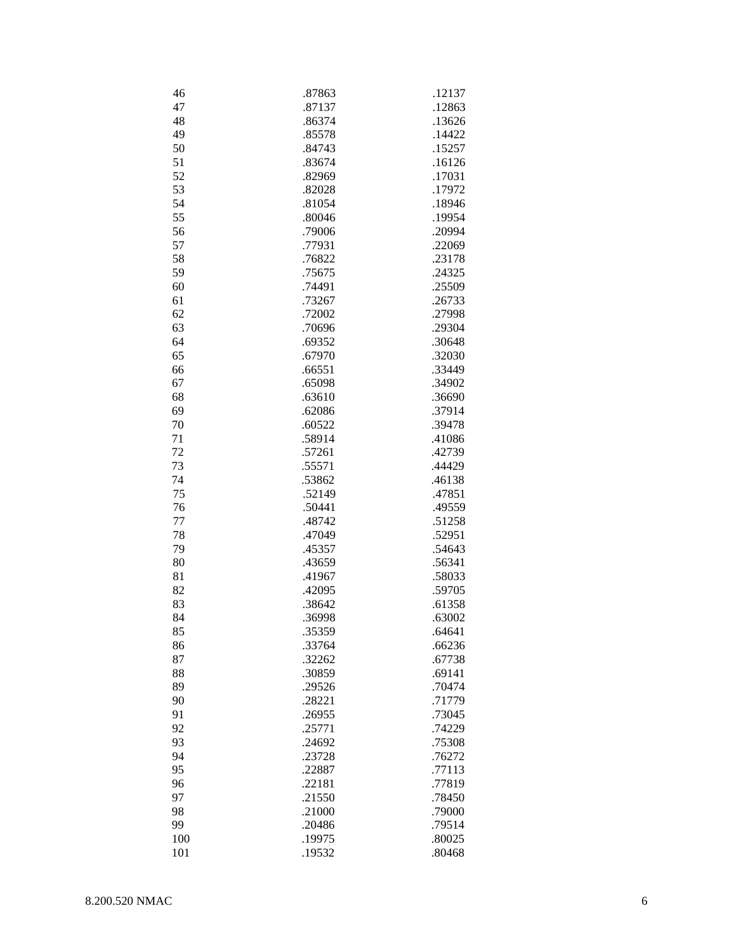| 46  | .87863 | .12137 |
|-----|--------|--------|
| 47  | .87137 | .12863 |
| 48  | .86374 | .13626 |
| 49  | .85578 | .14422 |
| 50  | .84743 | .15257 |
| 51  | .83674 | .16126 |
| 52  | .82969 | .17031 |
| 53  | .82028 | .17972 |
| 54  | .81054 | .18946 |
|     |        |        |
| 55  | .80046 | .19954 |
| 56  | .79006 | .20994 |
| 57  | .77931 | .22069 |
| 58  | .76822 | .23178 |
| 59  | .75675 | .24325 |
| 60  | .74491 | .25509 |
| 61  | .73267 | .26733 |
| 62  | .72002 | .27998 |
| 63  | .70696 | .29304 |
|     |        |        |
| 64  | .69352 | .30648 |
| 65  | .67970 | .32030 |
| 66  | .66551 | .33449 |
| 67  | .65098 | .34902 |
| 68  | .63610 | .36690 |
| 69  | .62086 | .37914 |
| 70  | .60522 | .39478 |
| 71  | .58914 | .41086 |
| 72  | .57261 | .42739 |
| 73  | .55571 | .44429 |
| 74  | .53862 | .46138 |
|     |        |        |
| 75  | .52149 | .47851 |
| 76  | .50441 | .49559 |
| 77  | .48742 | .51258 |
| 78  | .47049 | .52951 |
| 79  | .45357 | .54643 |
| 80  | .43659 | .56341 |
| 81  | .41967 | .58033 |
| 82  | .42095 | .59705 |
| 83  | .38642 | .61358 |
| 84  | 36998  | .63002 |
| 85  | .35359 | .64641 |
|     |        |        |
| 86  | .33764 | .66236 |
| 87  | .32262 | .67738 |
| 88  | .30859 | .69141 |
| 89  | .29526 | .70474 |
| 90  | .28221 | .71779 |
| 91  | .26955 | .73045 |
| 92  | .25771 | .74229 |
| 93  | .24692 | .75308 |
| 94  | .23728 | .76272 |
| 95  | .22887 | .77113 |
|     |        |        |
| 96  | .22181 | .77819 |
| 97  | .21550 | .78450 |
| 98  | .21000 | .79000 |
| 99  | .20486 | .79514 |
| 100 | .19975 | .80025 |
| 101 | .19532 | .80468 |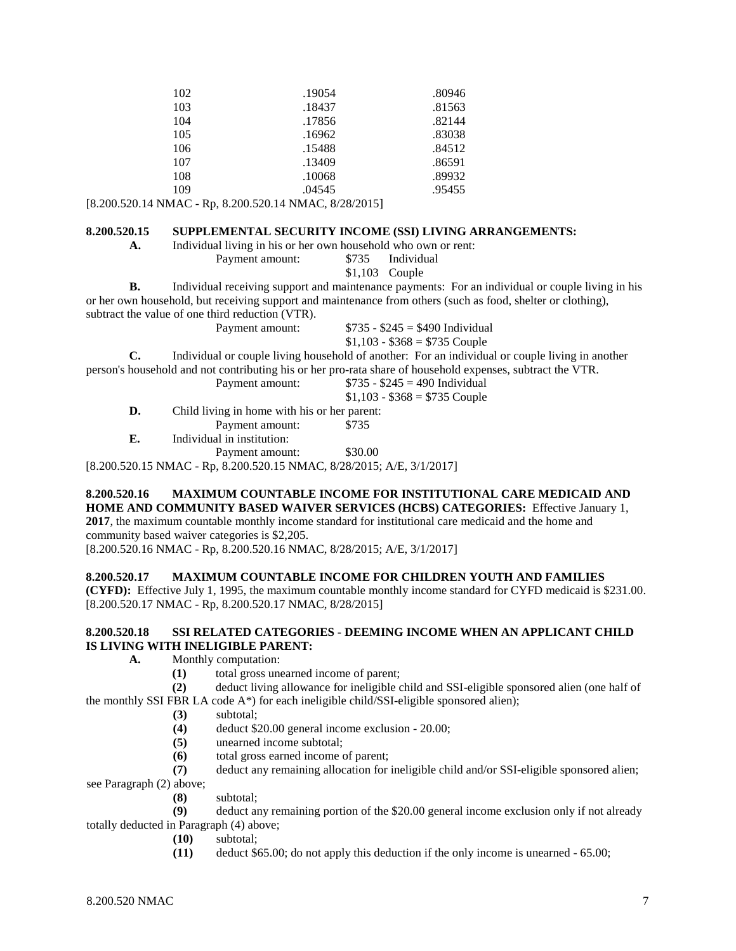| 102 | .19054 | .80946 |
|-----|--------|--------|
| 103 | .18437 | .81563 |
| 104 | .17856 | .82144 |
| 105 | .16962 | .83038 |
| 106 | .15488 | .84512 |
| 107 | .13409 | .86591 |
| 108 | .10068 | .89932 |
| 109 | .04545 | .95455 |

[8.200.520.14 NMAC - Rp, 8.200.520.14 NMAC, 8/28/2015]

#### **8.200.520.15 SUPPLEMENTAL SECURITY INCOME (SSI) LIVING ARRANGEMENTS:**

**A.** Individual living in his or her own household who own or rent:

Payment amount: \$735 Individual

\$1,103 Couple

**B.** Individual receiving support and maintenance payments: For an individual or couple living in his or her own household, but receiving support and maintenance from others (such as food, shelter or clothing), subtract the value of one third reduction (VTR).

Payment amount: \$735 - \$245 = \$490 Individual

 $$1,103 - $368 = $735$  Couple

**C.** Individual or couple living household of another: For an individual or couple living in another

person's household and not contributing his or her pro-rata share of household expenses, subtract the VTR. dividual

|    | Payment amount:                              | $$735 - $245 = 490$ Individual |
|----|----------------------------------------------|--------------------------------|
|    |                                              |                                |
|    |                                              | $$1,103 - $368 = $735$ Couple  |
| D. | Child living in home with his or her parent: |                                |
|    | Payment amount:                              | \$735                          |
| E. | Individual in institution:                   |                                |
|    |                                              |                                |

Payment amount: \$30.00

[8.200.520.15 NMAC - Rp, 8.200.520.15 NMAC, 8/28/2015; A/E, 3/1/2017]

# **8.200.520.16 MAXIMUM COUNTABLE INCOME FOR INSTITUTIONAL CARE MEDICAID AND HOME AND COMMUNITY BASED WAIVER SERVICES (HCBS) CATEGORIES:** Effective January 1,

**2017**, the maximum countable monthly income standard for institutional care medicaid and the home and community based waiver categories is \$2,205.

[8.200.520.16 NMAC - Rp, 8.200.520.16 NMAC, 8/28/2015; A/E, 3/1/2017]

# **8.200.520.17 MAXIMUM COUNTABLE INCOME FOR CHILDREN YOUTH AND FAMILIES**

**(CYFD):** Effective July 1, 1995, the maximum countable monthly income standard for CYFD medicaid is \$231.00. [8.200.520.17 NMAC - Rp, 8.200.520.17 NMAC, 8/28/2015]

#### **8.200.520.18 SSI RELATED CATEGORIES - DEEMING INCOME WHEN AN APPLICANT CHILD IS LIVING WITH INELIGIBLE PARENT:**

- **A.** Monthly computation:
	- (1) total gross unearned income of parent;<br>(2) deduct living allowance for ineligible of
- **(2)** deduct living allowance for ineligible child and SSI-eligible sponsored alien (one half of

the monthly SSI FBR LA code  $A^*$ ) for each ineligible child/SSI-eligible sponsored alien);

- **(3)** subtotal;
- **(4)** deduct \$20.00 general income exclusion 20.00;
- **(5)** unearned income subtotal;
- **(6)** total gross earned income of parent;
- **(7)** deduct any remaining allocation for ineligible child and/or SSI-eligible sponsored alien;

see Paragraph (2) above;

**(8)** subtotal;

**(9)** deduct any remaining portion of the \$20.00 general income exclusion only if not already totally deducted in Paragraph (4) above;

- **(10)** subtotal;
- **(11)** deduct \$65.00; do not apply this deduction if the only income is unearned 65.00;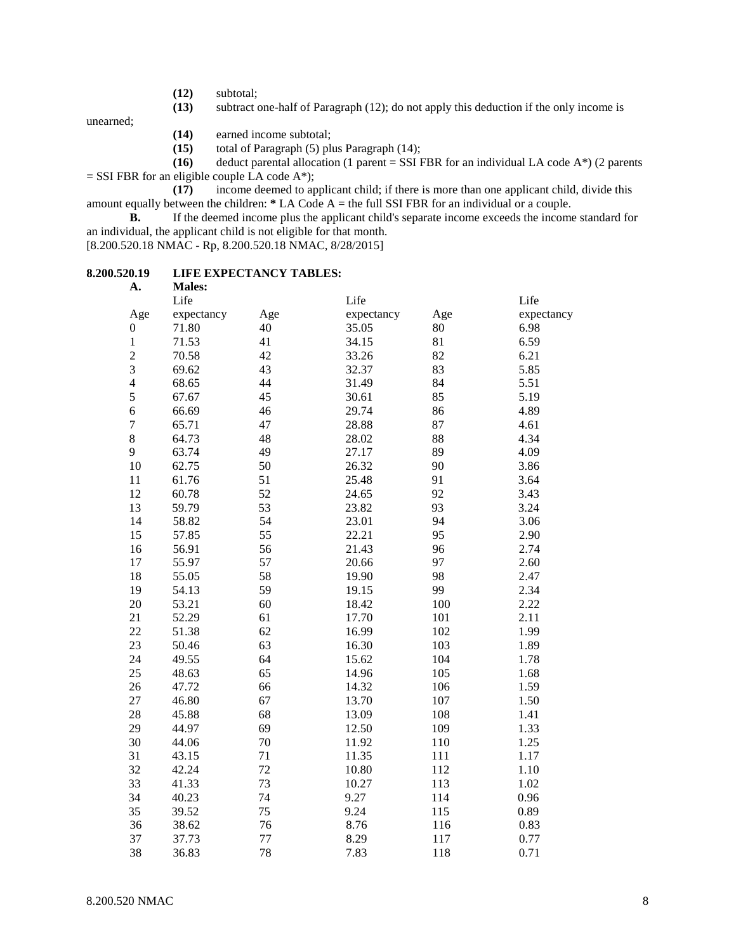- **(12)** subtotal;
- subtract one-half of Paragraph (12); do not apply this deduction if the only income is

unearned;

- **(14)** earned income subtotal;<br>**(15)** total of Paragraph (5) pli
- **(15)** total of Paragraph (5) plus Paragraph (14);
- **(16)** deduct parental allocation (1 parent = SSI FBR for an individual LA code A\*) (2 parents
- $=$  SSI FBR for an eligible couple LA code A\*);

**(17)** income deemed to applicant child; if there is more than one applicant child, divide this amount equally between the children: **\*** LA Code A = the full SSI FBR for an individual or a couple.

**B.** If the deemed income plus the applicant child's separate income exceeds the income standard for an individual, the applicant child is not eligible for that month.

[8.200.520.18 NMAC - Rp, 8.200.520.18 NMAC, 8/28/2015]

#### **8.200.520.19 LIFE EXPECTANCY TABLES: A. Males:**

| д.               | ічаісэ.    |     |            |     |            |
|------------------|------------|-----|------------|-----|------------|
|                  | Life       |     | Life       |     | Life       |
| Age              | expectancy | Age | expectancy | Age | expectancy |
| $\boldsymbol{0}$ | 71.80      | 40  | 35.05      | 80  | 6.98       |
| $\,1$            | 71.53      | 41  | 34.15      | 81  | 6.59       |
| $\overline{c}$   | 70.58      | 42  | 33.26      | 82  | 6.21       |
| 3                | 69.62      | 43  | 32.37      | 83  | 5.85       |
| $\overline{4}$   | 68.65      | 44  | 31.49      | 84  | 5.51       |
| 5                | 67.67      | 45  | 30.61      | 85  | 5.19       |
| $\overline{6}$   | 66.69      | 46  | 29.74      | 86  | 4.89       |
| $\overline{7}$   | 65.71      | 47  | 28.88      | 87  | 4.61       |
| 8                | 64.73      | 48  | 28.02      | 88  | 4.34       |
| 9                | 63.74      | 49  | 27.17      | 89  | 4.09       |
| 10               | 62.75      | 50  | 26.32      | 90  | 3.86       |
| 11               | 61.76      | 51  | 25.48      | 91  | 3.64       |
| 12               | 60.78      | 52  | 24.65      | 92  | 3.43       |
| 13               | 59.79      | 53  | 23.82      | 93  | 3.24       |
| 14               | 58.82      | 54  | 23.01      | 94  | 3.06       |
| 15               | 57.85      | 55  | 22.21      | 95  | 2.90       |
| 16               | 56.91      | 56  | 21.43      | 96  | 2.74       |
| 17               | 55.97      | 57  | 20.66      | 97  | 2.60       |
| 18               | 55.05      | 58  | 19.90      | 98  | 2.47       |
| 19               | 54.13      | 59  | 19.15      | 99  | 2.34       |
| 20               | 53.21      | 60  | 18.42      | 100 | 2.22       |
| 21               | 52.29      | 61  | 17.70      | 101 | 2.11       |
| 22               | 51.38      | 62  | 16.99      | 102 | 1.99       |
| 23               | 50.46      | 63  | 16.30      | 103 | 1.89       |
| 24               | 49.55      | 64  | 15.62      | 104 | 1.78       |
| 25               | 48.63      | 65  | 14.96      | 105 | 1.68       |
| 26               | 47.72      | 66  | 14.32      | 106 | 1.59       |
| 27               | 46.80      | 67  | 13.70      | 107 | 1.50       |
| 28               | 45.88      | 68  | 13.09      | 108 | 1.41       |
| 29               | 44.97      | 69  | 12.50      | 109 | 1.33       |
| 30               | 44.06      | 70  | 11.92      | 110 | 1.25       |
| 31               | 43.15      | 71  | 11.35      | 111 | 1.17       |
| 32               | 42.24      | 72  | 10.80      | 112 | 1.10       |
| 33               | 41.33      | 73  | 10.27      | 113 | 1.02       |
| 34               | 40.23      | 74  | 9.27       | 114 | 0.96       |
| 35               | 39.52      | 75  | 9.24       | 115 | 0.89       |
| 36               | 38.62      | 76  | 8.76       | 116 | 0.83       |
| 37               | 37.73      | 77  | 8.29       | 117 | 0.77       |
| 38               | 36.83      | 78  | 7.83       | 118 | 0.71       |
|                  |            |     |            |     |            |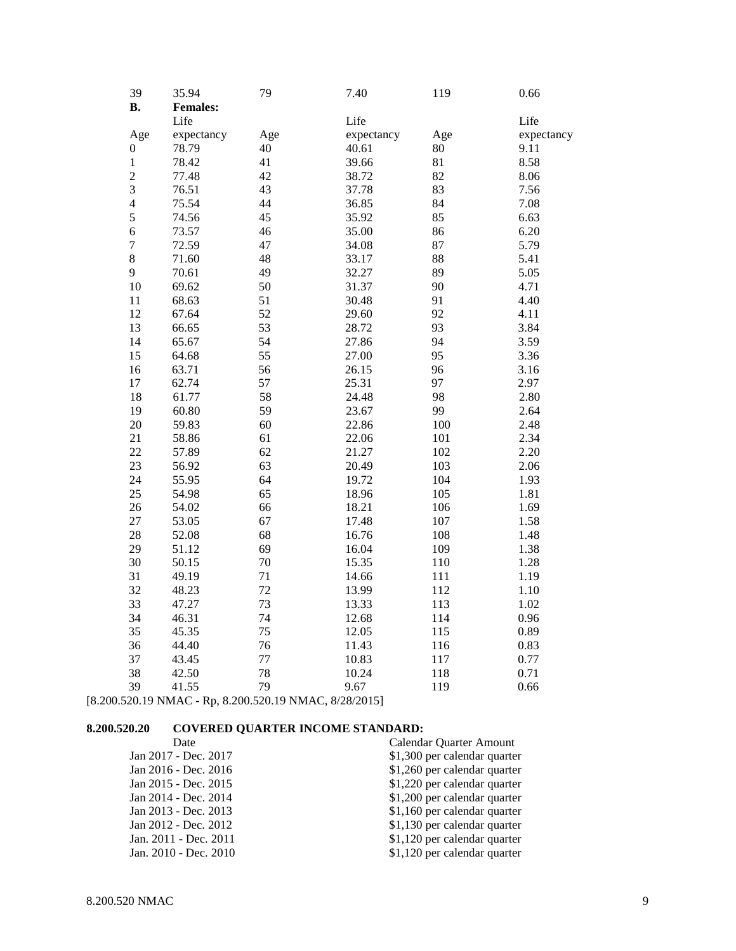| 39<br><b>B.</b>  | 35.94<br><b>Females:</b> | 79  | 7.40       | 119 | 0.66       |
|------------------|--------------------------|-----|------------|-----|------------|
|                  | Life                     |     | Life       |     | Life       |
| Age              | expectancy               | Age | expectancy | Age | expectancy |
| $\boldsymbol{0}$ | 78.79                    | 40  | 40.61      | 80  | 9.11       |
| $\,1$            | 78.42                    | 41  | 39.66      | 81  | 8.58       |
| $\overline{c}$   | 77.48                    | 42  | 38.72      | 82  | 8.06       |
| 3                | 76.51                    | 43  | 37.78      | 83  | 7.56       |
| $\overline{4}$   | 75.54                    | 44  | 36.85      | 84  | 7.08       |
| 5                | 74.56                    | 45  | 35.92      | 85  | 6.63       |
| $\overline{6}$   | 73.57                    | 46  | 35.00      | 86  | 6.20       |
| $\tau$           | 72.59                    | 47  | 34.08      | 87  | 5.79       |
| $\,8\,$          | 71.60                    | 48  | 33.17      | 88  | 5.41       |
| 9                | 70.61                    | 49  | 32.27      | 89  | 5.05       |
| 10               | 69.62                    | 50  | 31.37      | 90  | 4.71       |
| 11               | 68.63                    | 51  | 30.48      | 91  | 4.40       |
| 12               | 67.64                    | 52  | 29.60      | 92  | 4.11       |
| 13               | 66.65                    | 53  | 28.72      | 93  | 3.84       |
| 14               | 65.67                    | 54  | 27.86      | 94  | 3.59       |
| 15               | 64.68                    | 55  | 27.00      | 95  | 3.36       |
| 16               | 63.71                    | 56  | 26.15      | 96  | 3.16       |
| 17               | 62.74                    | 57  | 25.31      | 97  | 2.97       |
| 18               | 61.77                    | 58  | 24.48      | 98  | 2.80       |
| 19               | 60.80                    | 59  | 23.67      | 99  | 2.64       |
| 20               | 59.83                    | 60  | 22.86      | 100 | 2.48       |
| 21               | 58.86                    | 61  | 22.06      | 101 | 2.34       |
| 22               | 57.89                    | 62  | 21.27      | 102 | 2.20       |
| 23               | 56.92                    | 63  | 20.49      | 103 | 2.06       |
| 24               | 55.95                    | 64  | 19.72      | 104 | 1.93       |
| 25               | 54.98                    | 65  | 18.96      | 105 | 1.81       |
| 26               | 54.02                    | 66  | 18.21      | 106 | 1.69       |
| 27               | 53.05                    | 67  | 17.48      | 107 | 1.58       |
| 28               | 52.08                    | 68  | 16.76      | 108 | 1.48       |
| 29               | 51.12                    | 69  | 16.04      | 109 | 1.38       |
| 30               | 50.15                    | 70  | 15.35      | 110 | 1.28       |
| 31               | 49.19                    | 71  | 14.66      | 111 | 1.19       |
| 32               | 48.23                    | 72  | 13.99      | 112 | 1.10       |
| 33               | 47.27                    | 73  | 13.33      | 113 | 1.02       |
| 34               | 46.31                    | 74  | 12.68      | 114 | 0.96       |
| 35               | 45.35                    | 75  | 12.05      | 115 | 0.89       |
| 36               | 44.40                    | 76  | 11.43      | 116 | 0.83       |
| 37               | 43.45                    | 77  | 10.83      | 117 | 0.77       |
| 38               | 42.50                    | 78  | 10.24      | 118 | 0.71       |
| 39               | 41.55                    | 79  | 9.67       | 119 | 0.66       |
|                  |                          |     |            |     |            |

[8.200.520.19 NMAC - Rp, 8.200.520.19 NMAC, 8/28/2015]

# **8.200.520.20 COVERED QUARTER INCOME STANDARD:**

| Calendar Quarter Amount      |
|------------------------------|
| \$1,300 per calendar quarter |
| \$1,260 per calendar quarter |
| \$1,220 per calendar quarter |
| \$1,200 per calendar quarter |
| \$1,160 per calendar quarter |
| \$1,130 per calendar quarter |
| \$1,120 per calendar quarter |
| \$1,120 per calendar quarter |
|                              |